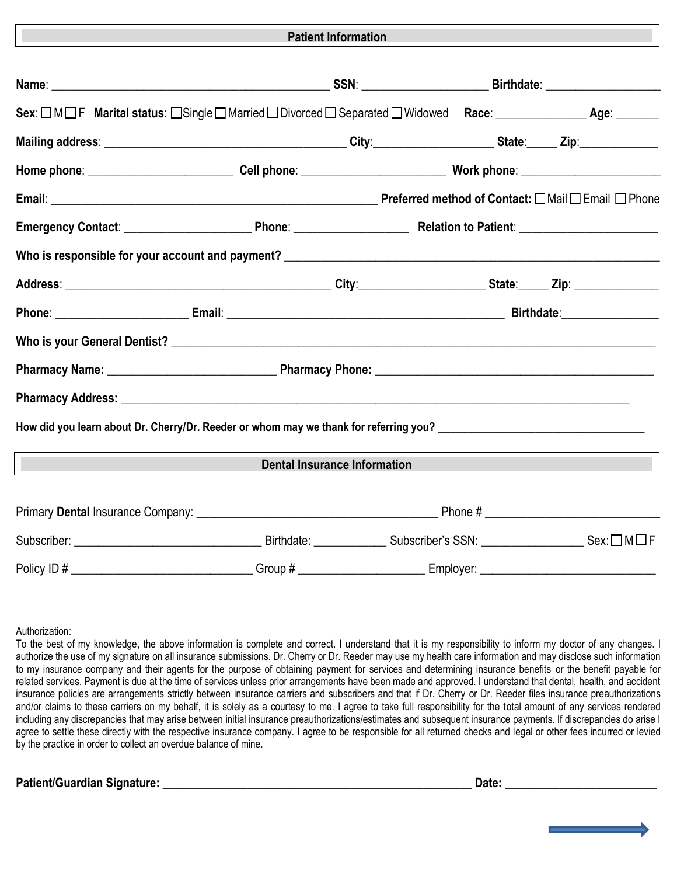#### **Patient Information**

| Sex: □M□F Marital status: □Single □Married □Divorced □ Separated □Widowed Race: ___________________ Age: ______ |            |                                     |           |  |
|-----------------------------------------------------------------------------------------------------------------|------------|-------------------------------------|-----------|--|
|                                                                                                                 |            |                                     |           |  |
|                                                                                                                 |            |                                     |           |  |
|                                                                                                                 |            |                                     |           |  |
|                                                                                                                 |            |                                     |           |  |
|                                                                                                                 |            |                                     |           |  |
|                                                                                                                 |            |                                     |           |  |
|                                                                                                                 |            |                                     |           |  |
|                                                                                                                 |            |                                     |           |  |
|                                                                                                                 |            |                                     |           |  |
|                                                                                                                 |            |                                     |           |  |
|                                                                                                                 |            |                                     |           |  |
|                                                                                                                 |            | <b>Dental Insurance Information</b> |           |  |
|                                                                                                                 |            |                                     |           |  |
|                                                                                                                 |            |                                     |           |  |
| Policy ID #                                                                                                     | $Group~\#$ |                                     | Employer: |  |

Authorization:

To the best of my knowledge, the above information is complete and correct. I understand that it is my responsibility to inform my doctor of any changes. I authorize the use of my signature on all insurance submissions. Dr. Cherry or Dr. Reeder may use my health care information and may disclose such information to my insurance company and their agents for the purpose of obtaining payment for services and determining insurance benefits or the benefit payable for related services. Payment is due at the time of services unless prior arrangements have been made and approved. I understand that dental, health, and accident insurance policies are arrangements strictly between insurance carriers and subscribers and that if Dr. Cherry or Dr. Reeder files insurance preauthorizations and/or claims to these carriers on my behalf, it is solely as a courtesy to me. I agree to take full responsibility for the total amount of any services rendered including any discrepancies that may arise between initial insurance preauthorizations/estimates and subsequent insurance payments. If discrepancies do arise I agree to settle these directly with the respective insurance company. I agree to be responsible for all returned checks and legal or other fees incurred or levied by the practice in order to collect an overdue balance of mine.

**Patient/Guardian Signature:** \_\_\_\_\_\_\_\_\_\_\_\_\_\_\_\_\_\_\_\_\_\_\_\_\_\_\_\_\_\_\_\_\_\_\_\_\_\_\_\_\_\_\_\_\_\_\_\_\_\_\_ **Date:** \_\_\_\_\_\_\_\_\_\_\_\_\_\_\_\_\_\_\_\_\_\_\_\_\_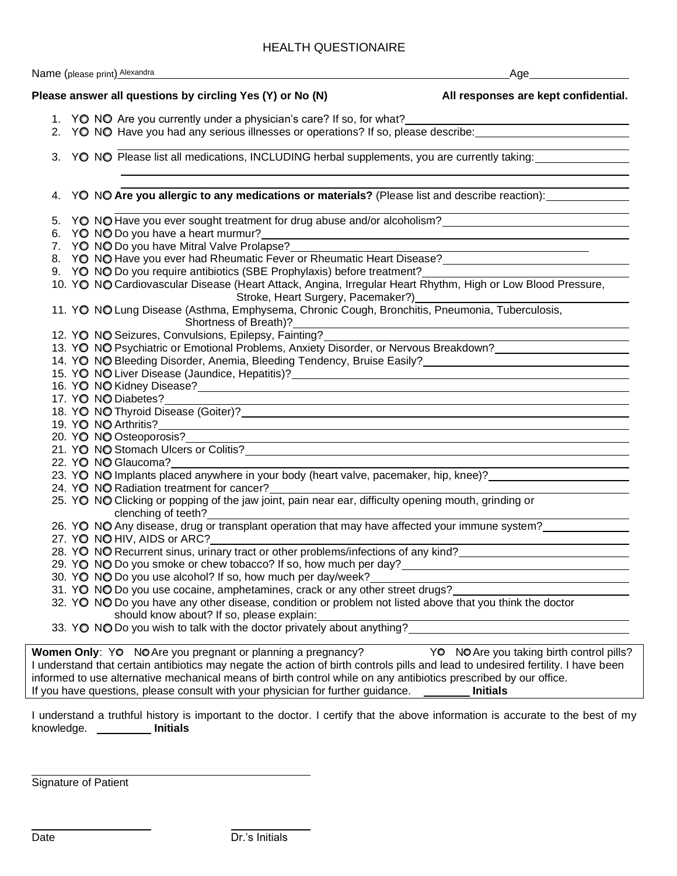### HEALTH QUESTIONAIRE

 $\sim$  animal Alex

|  | Name (please print) Alexandra                                                                                                                                                                                                      | Age                                                                     |
|--|------------------------------------------------------------------------------------------------------------------------------------------------------------------------------------------------------------------------------------|-------------------------------------------------------------------------|
|  | Please answer all questions by circling Yes (Y) or No (N)                                                                                                                                                                          | All responses are kept confidential.                                    |
|  | 1. YO NO Are you currently under a physician's care? If so, for what? _____________________________                                                                                                                                |                                                                         |
|  | 2. YO NO Have you had any serious illnesses or operations? If so, please describe: 1990 1990 1990 1990 1990 19                                                                                                                     |                                                                         |
|  | 3. YO NO Please list all medications, INCLUDING herbal supplements, you are currently taking:                                                                                                                                      |                                                                         |
|  | 4. YO NO Are you allergic to any medications or materials? (Please list and describe reaction):                                                                                                                                    |                                                                         |
|  | 5. YO NO Have you ever sought treatment for drug abuse and/or alcoholism?<br>2010 120 NO Have you ever sought treatment for drug abuse and/or alcoholism?<br>2010 120 NO Have you ever sought treatment for drug abuse and/or alco |                                                                         |
|  | 6. YO NO Do you have a heart murmur?                                                                                                                                                                                               |                                                                         |
|  | 7. YO NO Do you have Mitral Valve Prolapse?                                                                                                                                                                                        |                                                                         |
|  |                                                                                                                                                                                                                                    |                                                                         |
|  | 9. YO NO Do you require antibiotics (SBE Prophylaxis) before treatment?                                                                                                                                                            |                                                                         |
|  | 10. YO NO Cardiovascular Disease (Heart Attack, Angina, Irregular Heart Rhythm, High or Low Blood Pressure,                                                                                                                        |                                                                         |
|  |                                                                                                                                                                                                                                    |                                                                         |
|  | Stroke, Heart Surgery, Pacemaker?)<br>11. YO NO Lung Disease (Asthma, Emphysema, Chronic Cough, Bronchitis, Pneumonia, Tuberculosis,                                                                                               |                                                                         |
|  | Shortness of Breath)?                                                                                                                                                                                                              |                                                                         |
|  | 12. YO NO Seizures, Convulsions, Epilepsy, Fainting?                                                                                                                                                                               |                                                                         |
|  | 12. YO NO Seizures, Convulsions, Epilepsy, Fainting?____________________________<br>13. YO NO Psychiatric or Emotional Problems, Anxiety Disorder, or Nervous Breakdown?_________________________                                  |                                                                         |
|  | 14. YO NO Bleeding Disorder, Anemia, Bleeding Tendency, Bruise Easily?<br>14. YO NO Bleeding Disorder, Anemia, Bleeding Tendency, Bruise Easily?                                                                                   |                                                                         |
|  |                                                                                                                                                                                                                                    |                                                                         |
|  | 16. YO NO Kidney Disease?<br>16. YO NO Kidney Disease?                                                                                                                                                                             |                                                                         |
|  | 17. YO NO Diabetes?                                                                                                                                                                                                                | <u> 1989 - Johann Stoff, amerikansk politiker (* 1908)</u>              |
|  | 18. YO NO Thyroid Disease (Goiter)?<br>18. YO NO Thyroid Disease (Goiter)?                                                                                                                                                         |                                                                         |
|  |                                                                                                                                                                                                                                    |                                                                         |
|  |                                                                                                                                                                                                                                    |                                                                         |
|  | 21. YO NO Stomach Ulcers or Colitis?<br>21. YO NO Stomach Ulcers or Colitis?                                                                                                                                                       |                                                                         |
|  | 22. YO NO Glaucoma?                                                                                                                                                                                                                |                                                                         |
|  | 23. YO NO Implants placed anywhere in your body (heart valve, pacemaker, hip, knee)?                                                                                                                                               |                                                                         |
|  | 24. YO NO Radiation treatment for cancer?                                                                                                                                                                                          |                                                                         |
|  | 25. YO NO Clicking or popping of the jaw joint, pain near ear, difficulty opening mouth, grinding or                                                                                                                               |                                                                         |
|  | clenching of teeth?                                                                                                                                                                                                                |                                                                         |
|  | 26. YO NO Any disease, drug or transplant operation that may have affected your immune system?                                                                                                                                     |                                                                         |
|  | 27. YO NO HIV, AIDS or ARC?                                                                                                                                                                                                        |                                                                         |
|  | 28. YO NO Recurrent sinus, urinary tract or other problems/infections of any kind?                                                                                                                                                 |                                                                         |
|  | 29. YO NO Do you smoke or chew tobacco? If so, how much per day?                                                                                                                                                                   |                                                                         |
|  | 30. YO NO Do you use alcohol? If so, how much per day/week?                                                                                                                                                                        | <u> 1989 - Johann Stein, mars an t-Amerikaansk kommunister (* 1958)</u> |
|  | 31. YO NO Do you use cocaine, amphetamines, crack or any other street drugs?                                                                                                                                                       |                                                                         |
|  | 32. YO NO Do you have any other disease, condition or problem not listed above that you think the doctor                                                                                                                           |                                                                         |
|  | should know about? If so, please explain:                                                                                                                                                                                          |                                                                         |
|  | 33. YO NO Do you wish to talk with the doctor privately about anything?                                                                                                                                                            |                                                                         |
|  | Women Only: YO NO Are you pregnant or planning a pregnancy?                                                                                                                                                                        | YO NO Are you taking birth control pills?                               |
|  | I understand that certain antibiotics may negate the action of birth controls pills and lead to undesired fertility. I have been                                                                                                   |                                                                         |
|  | informed to use alternative mechanical means of birth control while on any antibiotics prescribed by our office.                                                                                                                   |                                                                         |
|  | If you have questions, please consult with your physician for further guidance.                                                                                                                                                    | <b>Initials</b>                                                         |

I understand a truthful history is important to the doctor. I certify that the above information is accurate to the best of my knowledge. **Initials** 

Signature of Patient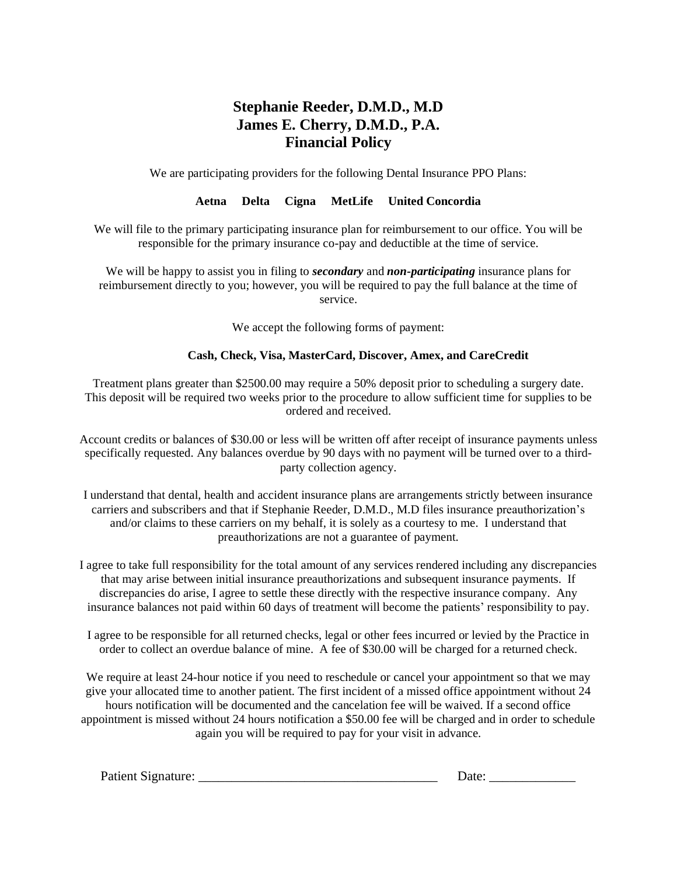# **Stephanie Reeder, D.M.D., M.D James E. Cherry, D.M.D., P.A. Financial Policy**

We are participating providers for the following Dental Insurance PPO Plans:

## **Aetna Delta Cigna MetLife United Concordia**

We will file to the primary participating insurance plan for reimbursement to our office. You will be responsible for the primary insurance co-pay and deductible at the time of service.

We will be happy to assist you in filing to *secondary* and *non-participating* insurance plans for reimbursement directly to you; however, you will be required to pay the full balance at the time of service.

We accept the following forms of payment:

### **Cash, Check, Visa, MasterCard, Discover, Amex, and CareCredit**

Treatment plans greater than \$2500.00 may require a 50% deposit prior to scheduling a surgery date. This deposit will be required two weeks prior to the procedure to allow sufficient time for supplies to be ordered and received.

Account credits or balances of \$30.00 or less will be written off after receipt of insurance payments unless specifically requested. Any balances overdue by 90 days with no payment will be turned over to a thirdparty collection agency.

I understand that dental, health and accident insurance plans are arrangements strictly between insurance carriers and subscribers and that if Stephanie Reeder, D.M.D., M.D files insurance preauthorization's and/or claims to these carriers on my behalf, it is solely as a courtesy to me. I understand that preauthorizations are not a guarantee of payment.

I agree to take full responsibility for the total amount of any services rendered including any discrepancies that may arise between initial insurance preauthorizations and subsequent insurance payments. If discrepancies do arise, I agree to settle these directly with the respective insurance company. Any insurance balances not paid within 60 days of treatment will become the patients' responsibility to pay.

I agree to be responsible for all returned checks, legal or other fees incurred or levied by the Practice in order to collect an overdue balance of mine. A fee of \$30.00 will be charged for a returned check.

We require at least 24-hour notice if you need to reschedule or cancel your appointment so that we may give your allocated time to another patient. The first incident of a missed office appointment without 24 hours notification will be documented and the cancelation fee will be waived. If a second office appointment is missed without 24 hours notification a \$50.00 fee will be charged and in order to schedule again you will be required to pay for your visit in advance.

| Patient Signature:<br>Jate. |  |
|-----------------------------|--|
|-----------------------------|--|